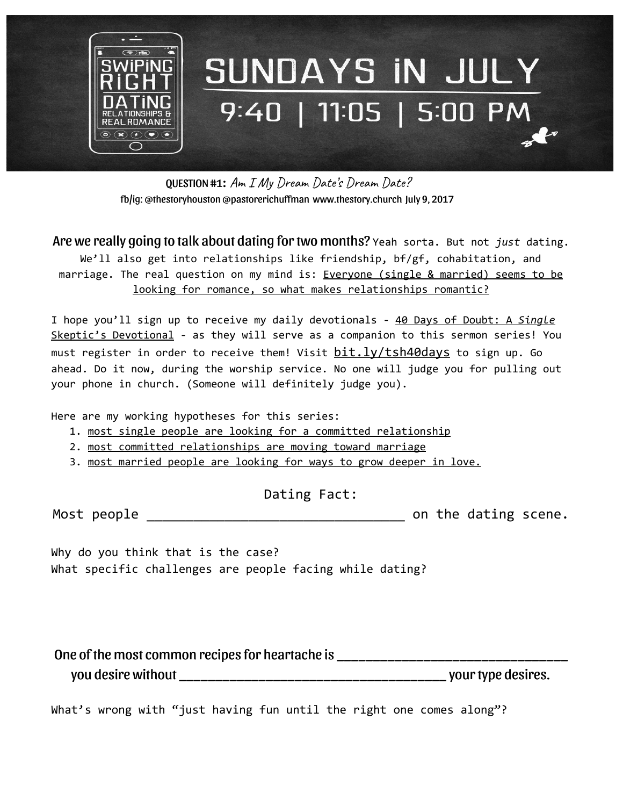

QUESTION #1: Am I My Dream Date's Dream Date? fb/ig: @thestoryhouston @pastorerichuffman [www.thestory.church](http://www.thestory.church/) July 9, 2017

Are we really going to talk about dating fortwo months? Yeah sorta. But not *just* dating. We'll also get into relationships like friendship, bf/gf, cohabitation, and marriage. The real question on my mind is: Everyone (single & married) seems to be looking for romance, so what makes relationships romantic?

I hope you'll sign up to receive my daily devotionals - 40 Days of Doubt: A *Single* Skeptic's Devotional - as they will serve as a companion to this sermon series! You must register in order to receive them! Visit bit.ly/tsh40days to sign up. Go ahead. Do it now, during the worship service. No one will judge you for pulling out your phone in church. (Someone will definitely judge you).

Here are my working hypotheses for this series:

- 1. most single people are looking for a committed relationship
- 2. most committed relationships are moving toward marriage
- 3. most married people are looking for ways to grow deeper in love.

## Dating Fact:

Most people \_\_\_\_\_\_\_\_\_\_\_\_\_\_\_\_\_\_\_\_\_\_\_\_\_\_\_\_\_\_\_\_\_ on the dating scene.

Why do you think that is the case? What specific challenges are people facing while dating?

One of the most common recipes for heartache is \_\_\_\_\_\_\_\_\_\_\_\_\_\_\_\_\_\_\_\_\_\_\_\_\_\_\_\_\_\_\_\_ you desire without \_\_\_\_\_\_\_\_\_\_\_\_\_\_\_\_\_\_\_\_\_\_\_\_\_\_\_\_\_\_\_\_\_\_\_\_\_ yourtype desires.

What's wrong with "just having fun until the right one comes along"?